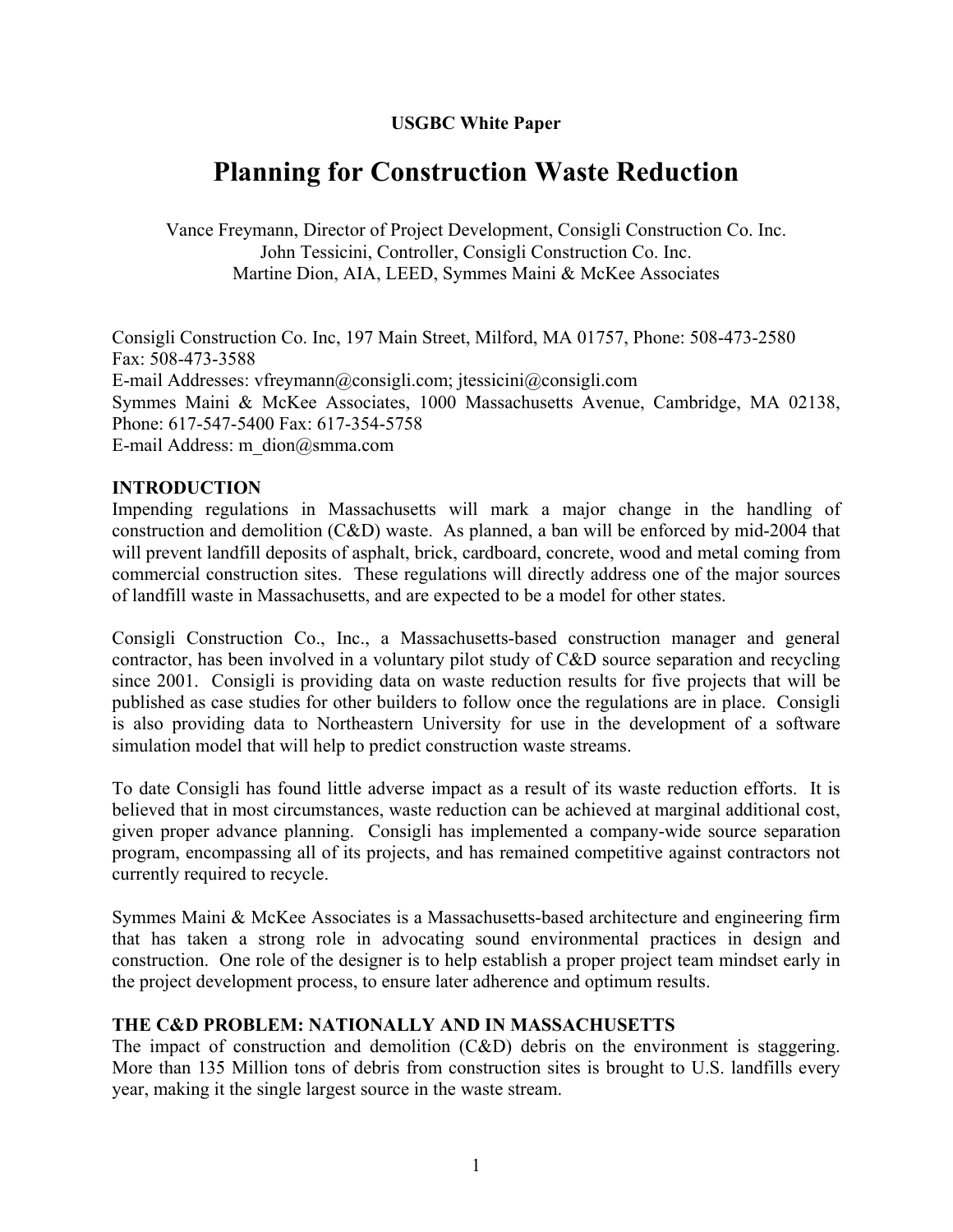#### **USGBC White Paper**

# **Planning for Construction Waste Reduction**

Vance Freymann, Director of Project Development, Consigli Construction Co. Inc. John Tessicini, Controller, Consigli Construction Co. Inc. Martine Dion, AIA, LEED, Symmes Maini & McKee Associates

Consigli Construction Co. Inc, 197 Main Street, Milford, MA 01757, Phone: 508-473-2580 Fax: 508-473-3588 E-mail Addresses: vfreymann@consigli.com; jtessicini@consigli.com Symmes Maini & McKee Associates, 1000 Massachusetts Avenue, Cambridge, MA 02138, Phone: 617-547-5400 Fax: 617-354-5758 E-mail Address: m\_dion@smma.com

#### **INTRODUCTION**

Impending regulations in Massachusetts will mark a major change in the handling of construction and demolition (C&D) waste. As planned, a ban will be enforced by mid-2004 that will prevent landfill deposits of asphalt, brick, cardboard, concrete, wood and metal coming from commercial construction sites. These regulations will directly address one of the major sources of landfill waste in Massachusetts, and are expected to be a model for other states.

Consigli Construction Co., Inc., a Massachusetts-based construction manager and general contractor, has been involved in a voluntary pilot study of C&D source separation and recycling since 2001. Consigli is providing data on waste reduction results for five projects that will be published as case studies for other builders to follow once the regulations are in place. Consigli is also providing data to Northeastern University for use in the development of a software simulation model that will help to predict construction waste streams.

To date Consigli has found little adverse impact as a result of its waste reduction efforts. It is believed that in most circumstances, waste reduction can be achieved at marginal additional cost, given proper advance planning. Consigli has implemented a company-wide source separation program, encompassing all of its projects, and has remained competitive against contractors not currently required to recycle.

Symmes Maini & McKee Associates is a Massachusetts-based architecture and engineering firm that has taken a strong role in advocating sound environmental practices in design and construction. One role of the designer is to help establish a proper project team mindset early in the project development process, to ensure later adherence and optimum results.

#### **THE C&D PROBLEM: NATIONALLY AND IN MASSACHUSETTS**

The impact of construction and demolition (C&D) debris on the environment is staggering. More than 135 Million tons of debris from construction sites is brought to U.S. landfills every year, making it the single largest source in the waste stream.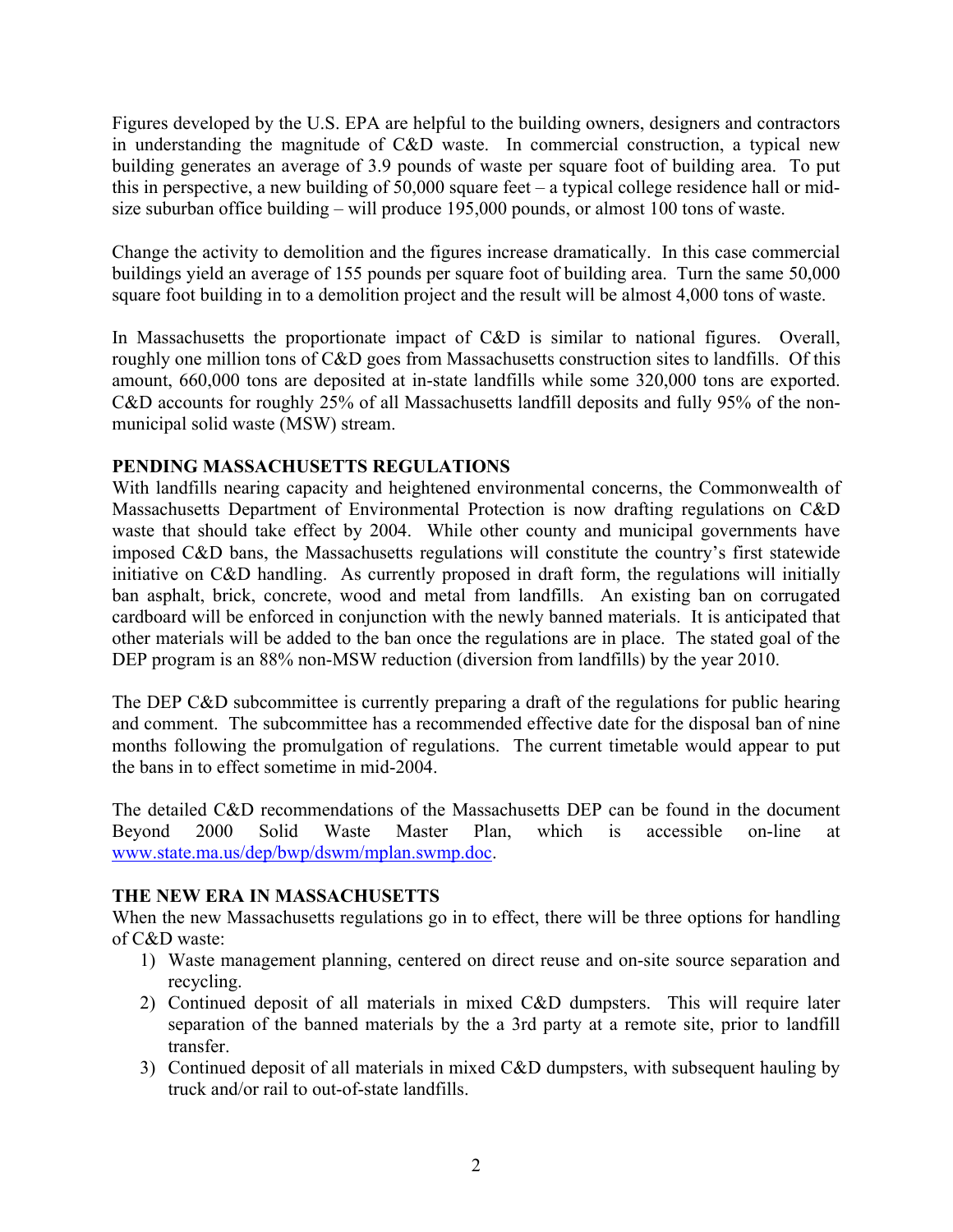Figures developed by the U.S. EPA are helpful to the building owners, designers and contractors in understanding the magnitude of C&D waste. In commercial construction, a typical new building generates an average of 3.9 pounds of waste per square foot of building area. To put this in perspective, a new building of 50,000 square feet – a typical college residence hall or midsize suburban office building – will produce 195,000 pounds, or almost 100 tons of waste.

Change the activity to demolition and the figures increase dramatically. In this case commercial buildings yield an average of 155 pounds per square foot of building area. Turn the same 50,000 square foot building in to a demolition project and the result will be almost 4,000 tons of waste.

In Massachusetts the proportionate impact of C&D is similar to national figures. Overall, roughly one million tons of C&D goes from Massachusetts construction sites to landfills. Of this amount, 660,000 tons are deposited at in-state landfills while some 320,000 tons are exported. C&D accounts for roughly 25% of all Massachusetts landfill deposits and fully 95% of the nonmunicipal solid waste (MSW) stream.

# **PENDING MASSACHUSETTS REGULATIONS**

With landfills nearing capacity and heightened environmental concerns, the Commonwealth of Massachusetts Department of Environmental Protection is now drafting regulations on C&D waste that should take effect by 2004. While other county and municipal governments have imposed C&D bans, the Massachusetts regulations will constitute the country's first statewide initiative on C&D handling. As currently proposed in draft form, the regulations will initially ban asphalt, brick, concrete, wood and metal from landfills. An existing ban on corrugated cardboard will be enforced in conjunction with the newly banned materials. It is anticipated that other materials will be added to the ban once the regulations are in place. The stated goal of the DEP program is an 88% non-MSW reduction (diversion from landfills) by the year 2010.

The DEP C&D subcommittee is currently preparing a draft of the regulations for public hearing and comment. The subcommittee has a recommended effective date for the disposal ban of nine months following the promulgation of regulations. The current timetable would appear to put the bans in to effect sometime in mid-2004.

The detailed C&D recommendations of the Massachusetts DEP can be found in the document Beyond 2000 Solid Waste Master Plan, which is accessible on-line at www.state.ma.us/dep/bwp/dswm/mplan.swmp.doc.

# **THE NEW ERA IN MASSACHUSETTS**

When the new Massachusetts regulations go in to effect, there will be three options for handling of C&D waste:

- 1) Waste management planning, centered on direct reuse and on-site source separation and recycling.
- 2) Continued deposit of all materials in mixed C&D dumpsters. This will require later separation of the banned materials by the a 3rd party at a remote site, prior to landfill transfer.
- 3) Continued deposit of all materials in mixed C&D dumpsters, with subsequent hauling by truck and/or rail to out-of-state landfills.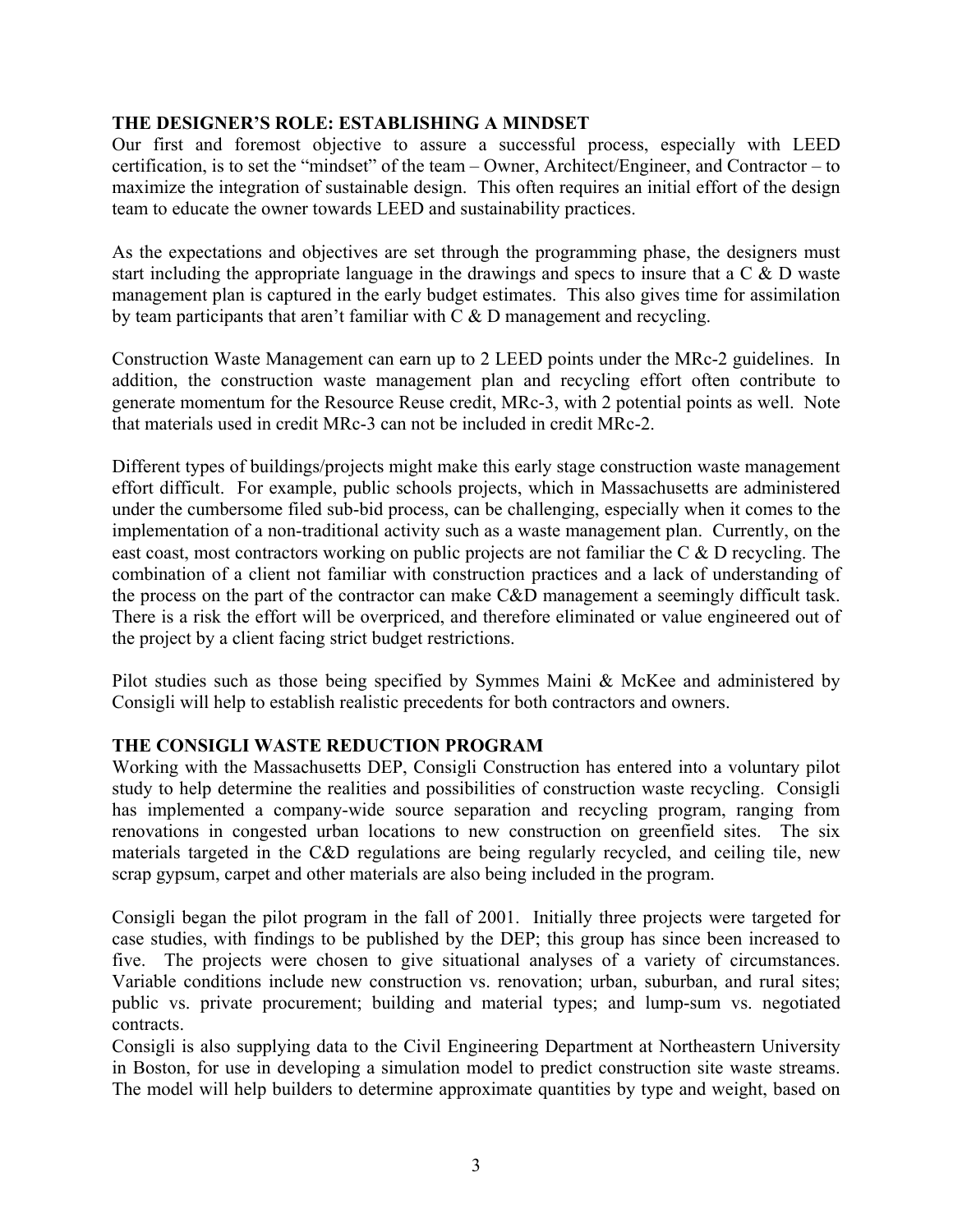#### **THE DESIGNER'S ROLE: ESTABLISHING A MINDSET**

Our first and foremost objective to assure a successful process, especially with LEED certification, is to set the "mindset" of the team – Owner, Architect/Engineer, and Contractor – to maximize the integration of sustainable design. This often requires an initial effort of the design team to educate the owner towards LEED and sustainability practices.

As the expectations and objectives are set through the programming phase, the designers must start including the appropriate language in the drawings and specs to insure that a C & D waste management plan is captured in the early budget estimates. This also gives time for assimilation by team participants that aren't familiar with C & D management and recycling.

Construction Waste Management can earn up to 2 LEED points under the MRc-2 guidelines. In addition, the construction waste management plan and recycling effort often contribute to generate momentum for the Resource Reuse credit, MRc-3, with 2 potential points as well. Note that materials used in credit MRc-3 can not be included in credit MRc-2.

Different types of buildings/projects might make this early stage construction waste management effort difficult. For example, public schools projects, which in Massachusetts are administered under the cumbersome filed sub-bid process, can be challenging, especially when it comes to the implementation of a non-traditional activity such as a waste management plan. Currently, on the east coast, most contractors working on public projects are not familiar the C & D recycling. The combination of a client not familiar with construction practices and a lack of understanding of the process on the part of the contractor can make C&D management a seemingly difficult task. There is a risk the effort will be overpriced, and therefore eliminated or value engineered out of the project by a client facing strict budget restrictions.

Pilot studies such as those being specified by Symmes Maini & McKee and administered by Consigli will help to establish realistic precedents for both contractors and owners.

# **THE CONSIGLI WASTE REDUCTION PROGRAM**

Working with the Massachusetts DEP, Consigli Construction has entered into a voluntary pilot study to help determine the realities and possibilities of construction waste recycling. Consigli has implemented a company-wide source separation and recycling program, ranging from renovations in congested urban locations to new construction on greenfield sites. The six materials targeted in the C&D regulations are being regularly recycled, and ceiling tile, new scrap gypsum, carpet and other materials are also being included in the program.

Consigli began the pilot program in the fall of 2001. Initially three projects were targeted for case studies, with findings to be published by the DEP; this group has since been increased to five. The projects were chosen to give situational analyses of a variety of circumstances. Variable conditions include new construction vs. renovation; urban, suburban, and rural sites; public vs. private procurement; building and material types; and lump-sum vs. negotiated contracts.

Consigli is also supplying data to the Civil Engineering Department at Northeastern University in Boston, for use in developing a simulation model to predict construction site waste streams. The model will help builders to determine approximate quantities by type and weight, based on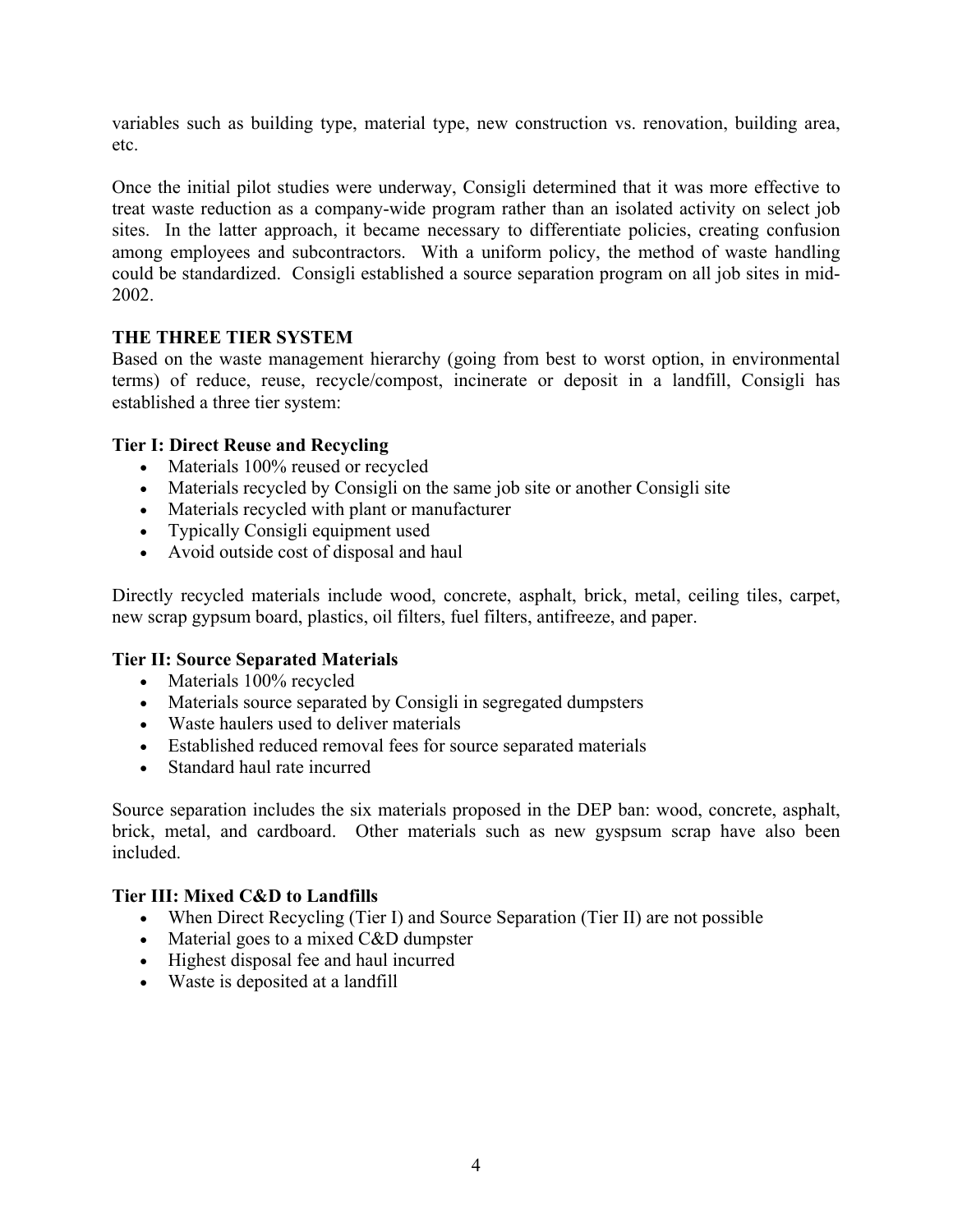variables such as building type, material type, new construction vs. renovation, building area, etc.

Once the initial pilot studies were underway, Consigli determined that it was more effective to treat waste reduction as a company-wide program rather than an isolated activity on select job sites. In the latter approach, it became necessary to differentiate policies, creating confusion among employees and subcontractors. With a uniform policy, the method of waste handling could be standardized. Consigli established a source separation program on all job sites in mid-2002.

#### **THE THREE TIER SYSTEM**

Based on the waste management hierarchy (going from best to worst option, in environmental terms) of reduce, reuse, recycle/compost, incinerate or deposit in a landfill, Consigli has established a three tier system:

#### **Tier I: Direct Reuse and Recycling**

- Materials 100% reused or recycled
- Materials recycled by Consigli on the same job site or another Consigli site
- Materials recycled with plant or manufacturer
- Typically Consigli equipment used
- Avoid outside cost of disposal and haul

Directly recycled materials include wood, concrete, asphalt, brick, metal, ceiling tiles, carpet, new scrap gypsum board, plastics, oil filters, fuel filters, antifreeze, and paper.

#### **Tier II: Source Separated Materials**

- Materials 100% recycled
- Materials source separated by Consigli in segregated dumpsters
- Waste haulers used to deliver materials
- Established reduced removal fees for source separated materials
- Standard haul rate incurred

Source separation includes the six materials proposed in the DEP ban: wood, concrete, asphalt, brick, metal, and cardboard. Other materials such as new gyspsum scrap have also been included.

#### **Tier III: Mixed C&D to Landfills**

- When Direct Recycling (Tier I) and Source Separation (Tier II) are not possible
- Material goes to a mixed C&D dumpster
- Highest disposal fee and haul incurred
- Waste is deposited at a landfill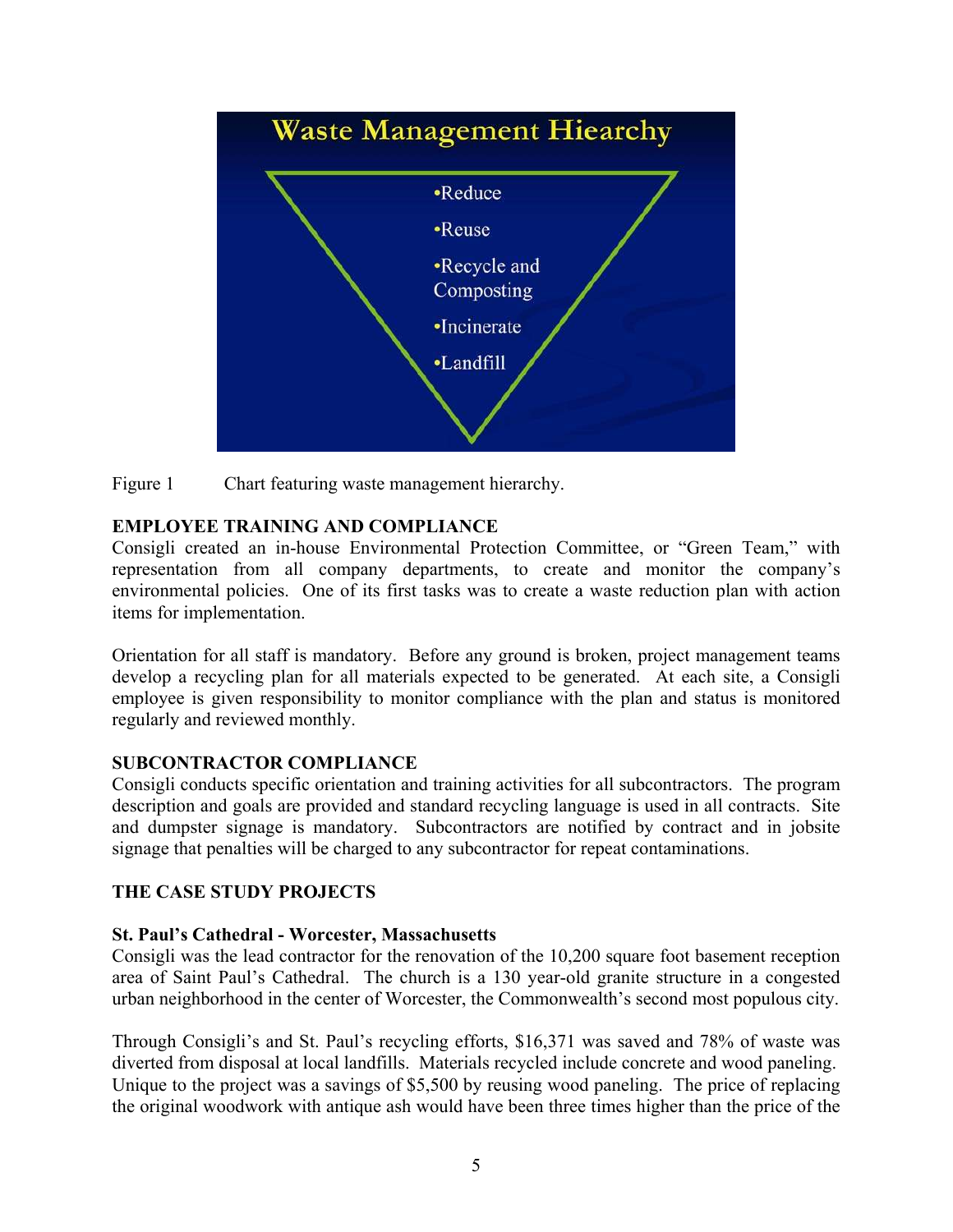



# **EMPLOYEE TRAINING AND COMPLIANCE**

Consigli created an in-house Environmental Protection Committee, or "Green Team," with representation from all company departments, to create and monitor the company's environmental policies. One of its first tasks was to create a waste reduction plan with action items for implementation.

Orientation for all staff is mandatory. Before any ground is broken, project management teams develop a recycling plan for all materials expected to be generated. At each site, a Consigli employee is given responsibility to monitor compliance with the plan and status is monitored regularly and reviewed monthly.

# **SUBCONTRACTOR COMPLIANCE**

Consigli conducts specific orientation and training activities for all subcontractors. The program description and goals are provided and standard recycling language is used in all contracts. Site and dumpster signage is mandatory. Subcontractors are notified by contract and in jobsite signage that penalties will be charged to any subcontractor for repeat contaminations.

# **THE CASE STUDY PROJECTS**

# **St. Paul's Cathedral - Worcester, Massachusetts**

Consigli was the lead contractor for the renovation of the 10,200 square foot basement reception area of Saint Paul's Cathedral. The church is a 130 year-old granite structure in a congested urban neighborhood in the center of Worcester, the Commonwealth's second most populous city.

Through Consigli's and St. Paul's recycling efforts, \$16,371 was saved and 78% of waste was diverted from disposal at local landfills. Materials recycled include concrete and wood paneling. Unique to the project was a savings of \$5,500 by reusing wood paneling. The price of replacing the original woodwork with antique ash would have been three times higher than the price of the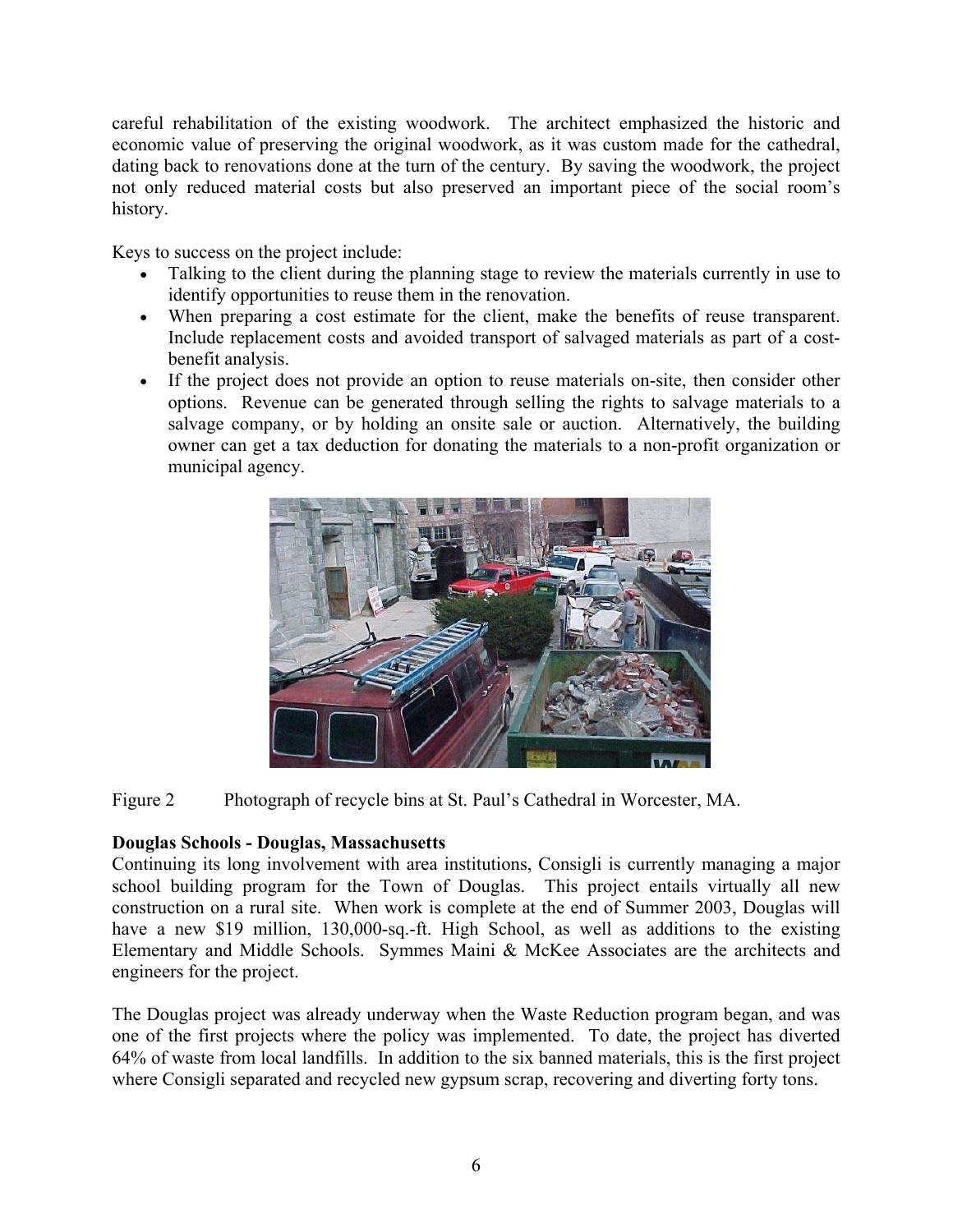careful rehabilitation of the existing woodwork. The architect emphasized the historic and economic value of preserving the original woodwork, as it was custom made for the cathedral, dating back to renovations done at the turn of the century. By saving the woodwork, the project not only reduced material costs but also preserved an important piece of the social room's history.

Keys to success on the project include:

- Talking to the client during the planning stage to review the materials currently in use to identify opportunities to reuse them in the renovation.
- When preparing a cost estimate for the client, make the benefits of reuse transparent. Include replacement costs and avoided transport of salvaged materials as part of a costbenefit analysis.
- If the project does not provide an option to reuse materials on-site, then consider other options. Revenue can be generated through selling the rights to salvage materials to a salvage company, or by holding an onsite sale or auction. Alternatively, the building owner can get a tax deduction for donating the materials to a non-profit organization or municipal agency.



Figure 2 Photograph of recycle bins at St. Paul's Cathedral in Worcester, MA.

# **Douglas Schools - Douglas, Massachusetts**

Continuing its long involvement with area institutions, Consigli is currently managing a major school building program for the Town of Douglas. This project entails virtually all new construction on a rural site. When work is complete at the end of Summer 2003, Douglas will have a new \$19 million, 130,000-sq.-ft. High School, as well as additions to the existing Elementary and Middle Schools. Symmes Maini & McKee Associates are the architects and engineers for the project.

The Douglas project was already underway when the Waste Reduction program began, and was one of the first projects where the policy was implemented. To date, the project has diverted 64% of waste from local landfills. In addition to the six banned materials, this is the first project where Consigli separated and recycled new gypsum scrap, recovering and diverting forty tons.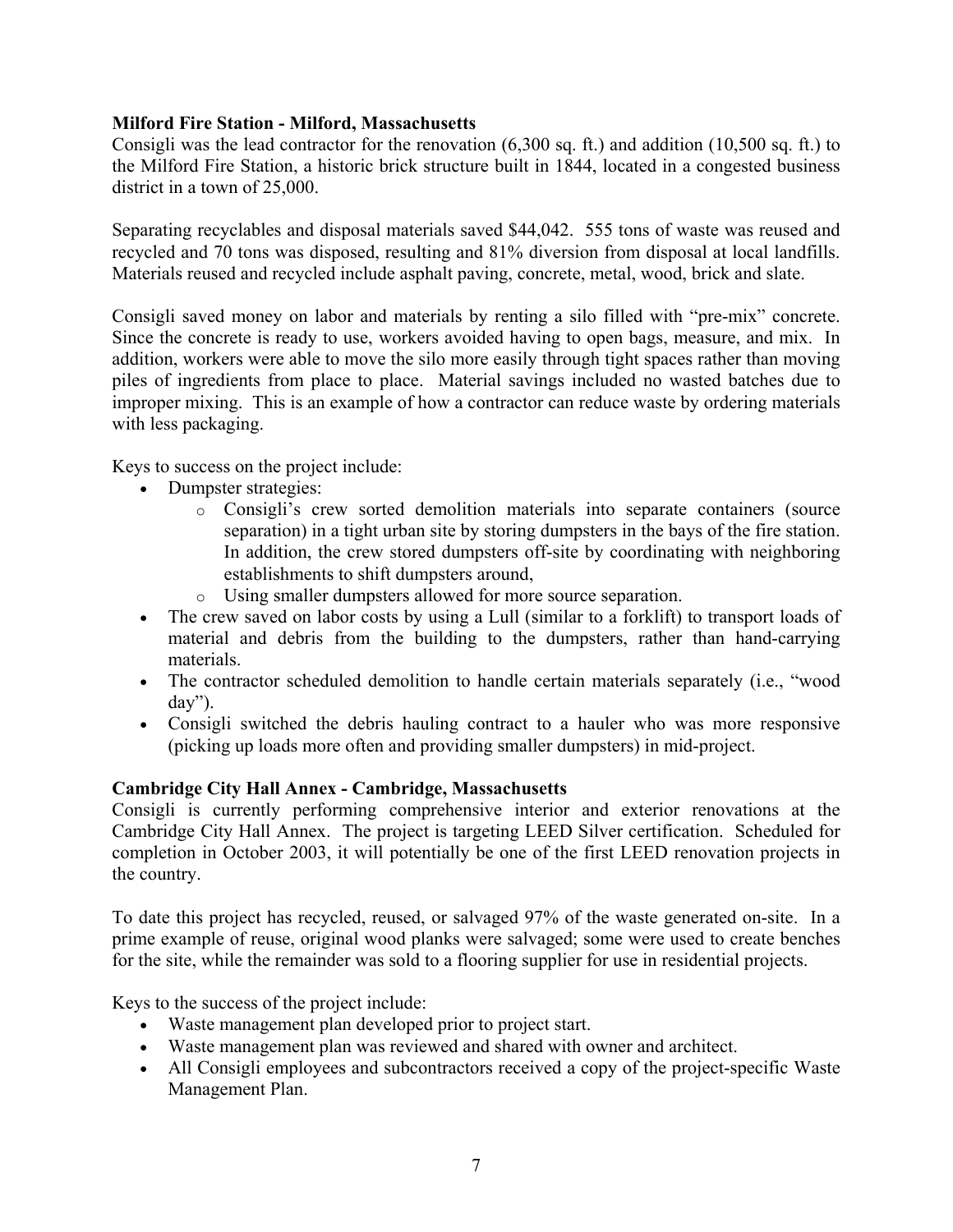#### **Milford Fire Station - Milford, Massachusetts**

Consigli was the lead contractor for the renovation (6,300 sq. ft.) and addition (10,500 sq. ft.) to the Milford Fire Station, a historic brick structure built in 1844, located in a congested business district in a town of 25,000.

Separating recyclables and disposal materials saved \$44,042. 555 tons of waste was reused and recycled and 70 tons was disposed, resulting and 81% diversion from disposal at local landfills. Materials reused and recycled include asphalt paving, concrete, metal, wood, brick and slate.

Consigli saved money on labor and materials by renting a silo filled with "pre-mix" concrete. Since the concrete is ready to use, workers avoided having to open bags, measure, and mix. In addition, workers were able to move the silo more easily through tight spaces rather than moving piles of ingredients from place to place. Material savings included no wasted batches due to improper mixing. This is an example of how a contractor can reduce waste by ordering materials with less packaging.

Keys to success on the project include:

- Dumpster strategies:
	- o Consigli's crew sorted demolition materials into separate containers (source separation) in a tight urban site by storing dumpsters in the bays of the fire station. In addition, the crew stored dumpsters off-site by coordinating with neighboring establishments to shift dumpsters around,
	- o Using smaller dumpsters allowed for more source separation.
- The crew saved on labor costs by using a Lull (similar to a forklift) to transport loads of material and debris from the building to the dumpsters, rather than hand-carrying materials.
- The contractor scheduled demolition to handle certain materials separately (i.e., "wood day").
- Consigli switched the debris hauling contract to a hauler who was more responsive (picking up loads more often and providing smaller dumpsters) in mid-project.

# **Cambridge City Hall Annex - Cambridge, Massachusetts**

Consigli is currently performing comprehensive interior and exterior renovations at the Cambridge City Hall Annex. The project is targeting LEED Silver certification. Scheduled for completion in October 2003, it will potentially be one of the first LEED renovation projects in the country.

To date this project has recycled, reused, or salvaged 97% of the waste generated on-site. In a prime example of reuse, original wood planks were salvaged; some were used to create benches for the site, while the remainder was sold to a flooring supplier for use in residential projects.

Keys to the success of the project include:

- Waste management plan developed prior to project start.
- Waste management plan was reviewed and shared with owner and architect.
- All Consigli employees and subcontractors received a copy of the project-specific Waste Management Plan.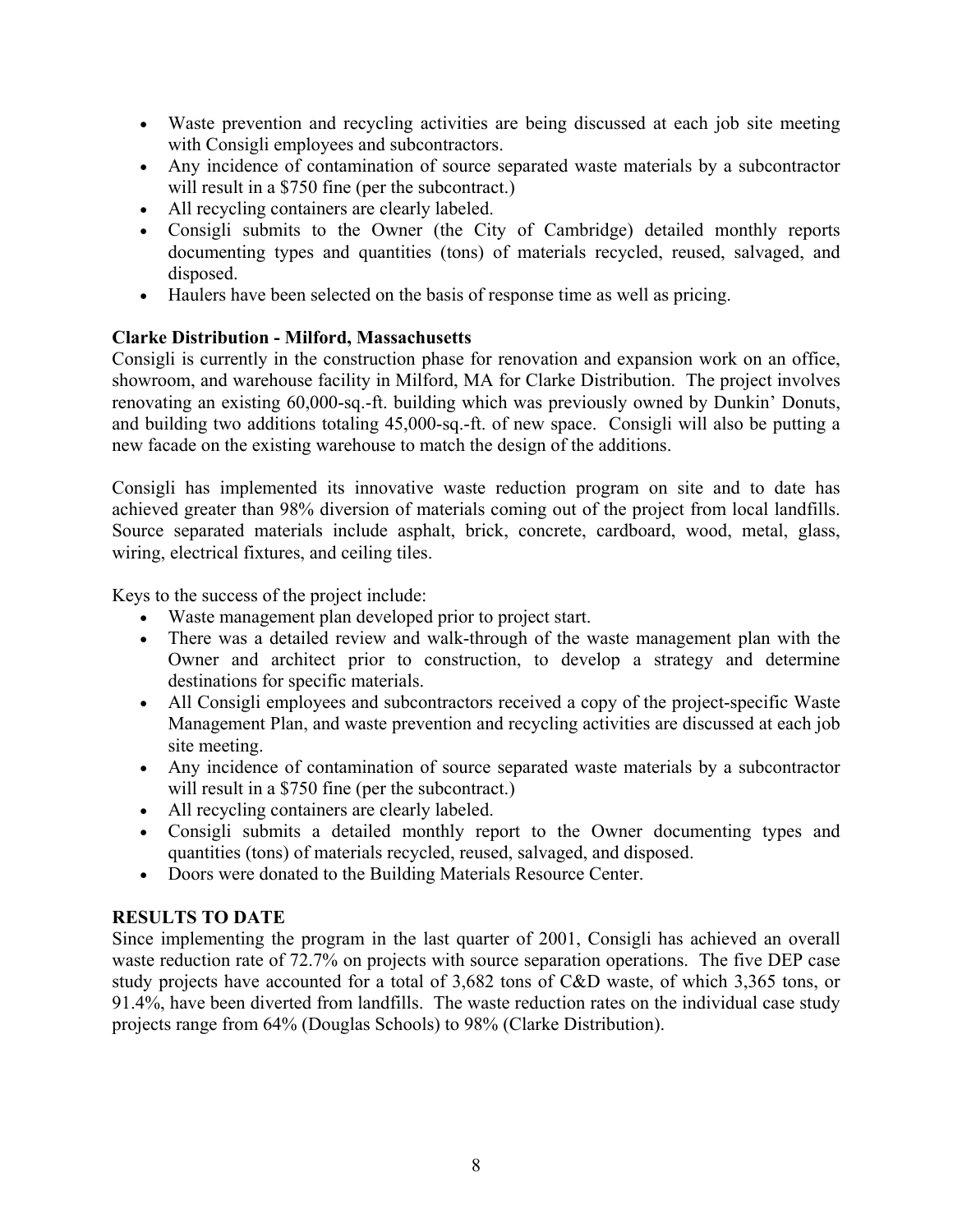- Waste prevention and recycling activities are being discussed at each job site meeting with Consigli employees and subcontractors.
- Any incidence of contamination of source separated waste materials by a subcontractor will result in a \$750 fine (per the subcontract.)
- All recycling containers are clearly labeled.
- Consigli submits to the Owner (the City of Cambridge) detailed monthly reports documenting types and quantities (tons) of materials recycled, reused, salvaged, and disposed.
- Haulers have been selected on the basis of response time as well as pricing.

# **Clarke Distribution - Milford, Massachusetts**

Consigli is currently in the construction phase for renovation and expansion work on an office, showroom, and warehouse facility in Milford, MA for Clarke Distribution. The project involves renovating an existing 60,000-sq.-ft. building which was previously owned by Dunkin' Donuts, and building two additions totaling 45,000-sq.-ft. of new space. Consigli will also be putting a new facade on the existing warehouse to match the design of the additions.

Consigli has implemented its innovative waste reduction program on site and to date has achieved greater than 98% diversion of materials coming out of the project from local landfills. Source separated materials include asphalt, brick, concrete, cardboard, wood, metal, glass, wiring, electrical fixtures, and ceiling tiles.

Keys to the success of the project include:

- Waste management plan developed prior to project start.
- There was a detailed review and walk-through of the waste management plan with the Owner and architect prior to construction, to develop a strategy and determine destinations for specific materials.
- All Consigli employees and subcontractors received a copy of the project-specific Waste Management Plan, and waste prevention and recycling activities are discussed at each job site meeting.
- Any incidence of contamination of source separated waste materials by a subcontractor will result in a \$750 fine (per the subcontract.)
- All recycling containers are clearly labeled.
- Consigli submits a detailed monthly report to the Owner documenting types and quantities (tons) of materials recycled, reused, salvaged, and disposed.
- Doors were donated to the Building Materials Resource Center.

# **RESULTS TO DATE**

Since implementing the program in the last quarter of 2001, Consigli has achieved an overall waste reduction rate of 72.7% on projects with source separation operations. The five DEP case study projects have accounted for a total of 3,682 tons of C&D waste, of which 3,365 tons, or 91.4%, have been diverted from landfills. The waste reduction rates on the individual case study projects range from 64% (Douglas Schools) to 98% (Clarke Distribution).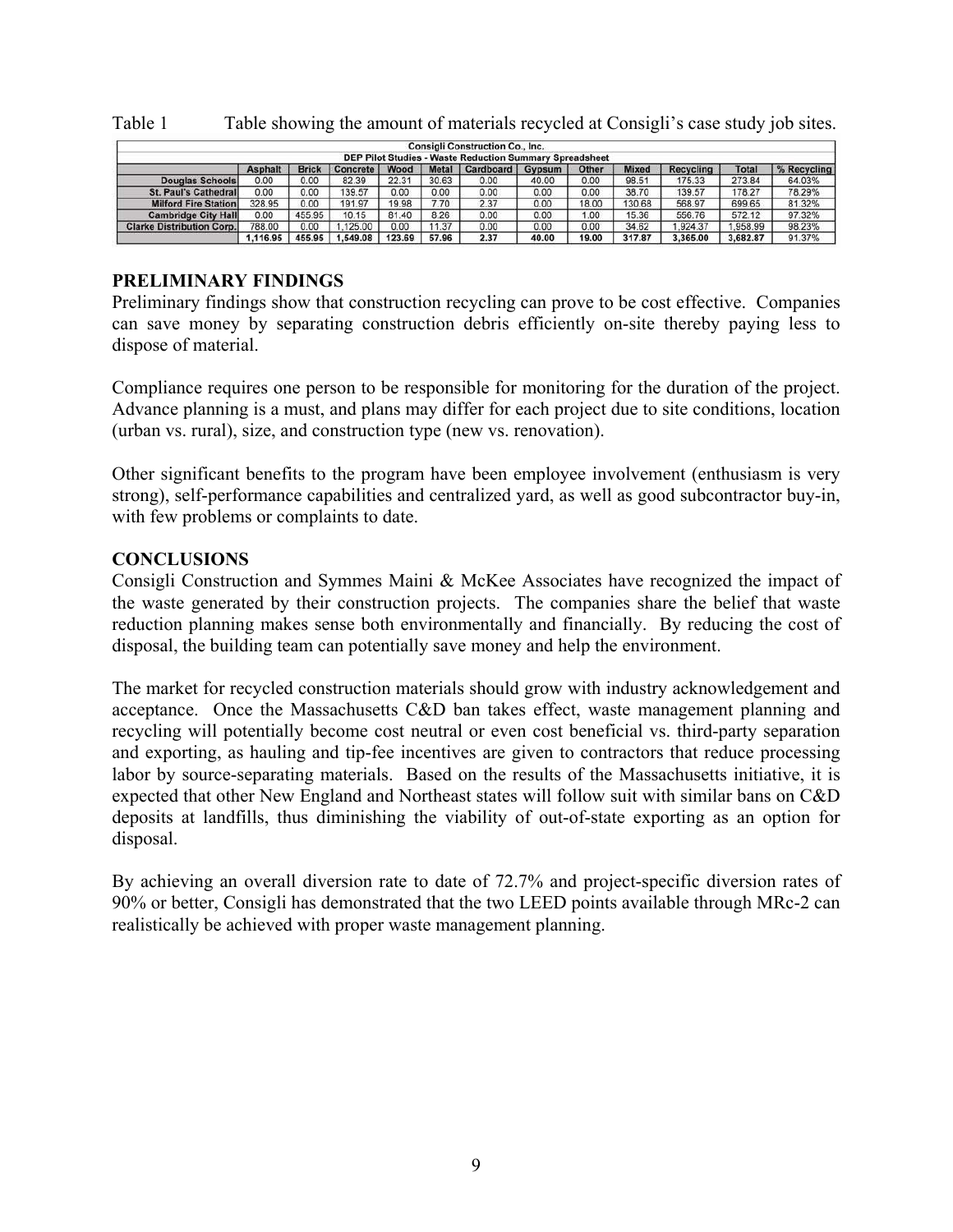| <b>Consigli Construction Co., Inc.</b><br><b>DEP Pilot Studies - Waste Reduction Summary Spreadsheet</b> |                |              |          |        |              |                  |        |       |              |                  |          |             |
|----------------------------------------------------------------------------------------------------------|----------------|--------------|----------|--------|--------------|------------------|--------|-------|--------------|------------------|----------|-------------|
|                                                                                                          | <b>Asphalt</b> | <b>Brick</b> | Concrete | Wood   | <b>Metal</b> | <b>Cardboard</b> | Gypsum | Other | <b>Mixed</b> | <b>Recycling</b> | Total    | % Recycling |
| <b>Douglas Schools</b>                                                                                   | 0.00           | 0.00         | 82.39    | 22.31  | 30.63        | 0.00             | 40.00  | 0.00  | 98.51        | 175.33           | 273.84   | 64.03%      |
| <b>St. Paul's Cathedral</b>                                                                              | 0.00           | 0.00         | 139.57   | 0.00   | 0.00         | 0.00             | 0.00   | 0.00  | 38.70        | 139.57           | 178.27   | 78.29%      |
| <b>Milford Fire Station</b>                                                                              | 328.95         | 0.00         | 191.97   | 19.98  | 7.70         | 2.37             | 0.00   | 18.00 | 130.68       | 568.97           | 699.65   | 81.32%      |
| <b>Cambridge City Hall</b>                                                                               | 0.00           | 455.95       | 10.15    | 81.40  | 8.26         | 0.00             | 0.00   | 1.00  | 15.36        | 556.76           | 572.12   | 97.32%      |
| <b>Clarke Distribution Corp.</b>                                                                         | 788.00         | 0.00         | .125.00  | 0.00   | 11.37        | 0.00             | 0.00   | 0.00  | 34.62        | .924.37          | .958.99  | 98.23%      |
|                                                                                                          | 1.116.95       | 455.95       | .549.08  | 123.69 | 57.96        | 2.37             | 40.00  | 19.00 | 317.87       | 3.365.00         | 3.682.87 | 91.37%      |

Table 1 Table showing the amount of materials recycled at Consigli's case study job sites.

# **PRELIMINARY FINDINGS**

Preliminary findings show that construction recycling can prove to be cost effective. Companies can save money by separating construction debris efficiently on-site thereby paying less to dispose of material.

Compliance requires one person to be responsible for monitoring for the duration of the project. Advance planning is a must, and plans may differ for each project due to site conditions, location (urban vs. rural), size, and construction type (new vs. renovation).

Other significant benefits to the program have been employee involvement (enthusiasm is very strong), self-performance capabilities and centralized yard, as well as good subcontractor buy-in, with few problems or complaints to date.

# **CONCLUSIONS**

Consigli Construction and Symmes Maini & McKee Associates have recognized the impact of the waste generated by their construction projects. The companies share the belief that waste reduction planning makes sense both environmentally and financially. By reducing the cost of disposal, the building team can potentially save money and help the environment.

The market for recycled construction materials should grow with industry acknowledgement and acceptance. Once the Massachusetts C&D ban takes effect, waste management planning and recycling will potentially become cost neutral or even cost beneficial vs. third-party separation and exporting, as hauling and tip-fee incentives are given to contractors that reduce processing labor by source-separating materials. Based on the results of the Massachusetts initiative, it is expected that other New England and Northeast states will follow suit with similar bans on C&D deposits at landfills, thus diminishing the viability of out-of-state exporting as an option for disposal.

By achieving an overall diversion rate to date of 72.7% and project-specific diversion rates of 90% or better, Consigli has demonstrated that the two LEED points available through MRc-2 can realistically be achieved with proper waste management planning.